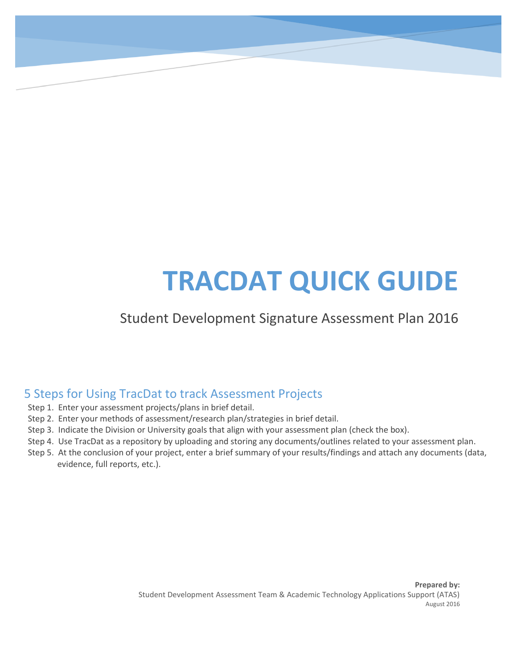# **TRACDAT QUICK GUIDE**

#### Student Development Signature Assessment Plan 2016

#### 5 Steps for Using TracDat to track Assessment Projects

- Step 1. Enter your assessment projects/plans in brief detail.
- Step 2. Enter your methods of assessment/research plan/strategies in brief detail.
- Step 3. Indicate the Division or University goals that align with your assessment plan (check the box).
- Step 4. Use TracDat as a repository by uploading and storing any documents/outlines related to your assessment plan.
- Step 5. At the conclusion of your project, enter a brief summary of your results/findings and attach any documents (data, evidence, full reports, etc.).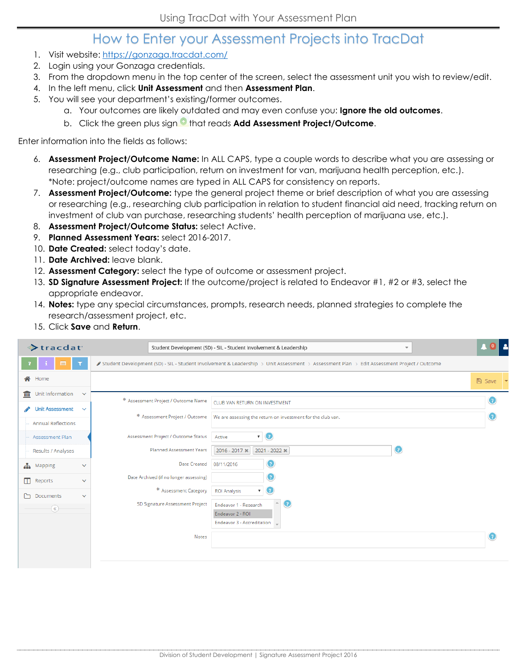#### How to Enter your Assessment Projects into TracDat

- 1. Visit website:<https://gonzaga.tracdat.com/>
- 2. Login using your Gonzaga credentials.
- 3. From the dropdown menu in the top center of the screen, select the assessment unit you wish to review/edit.
- 4. In the left menu, click **Unit Assessment** and then **Assessment Plan**.
- 5. You will see your department's existing/former outcomes.
	- a. Your outcomes are likely outdated and may even confuse you: **Ignore the old outcomes**.
	- b. Click the green plus sign that reads **Add Assessment Project/Outcome**.

Enter information into the fields as follows:

- 6. **Assessment Project/Outcome Name:** In ALL CAPS, type a couple words to describe what you are assessing or researching (e.g., club participation, return on investment for van, marijuana health perception, etc.). \*Note: project/outcome names are typed in ALL CAPS for consistency on reports.
- 7. **Assessment Project/Outcome:** type the general project theme or brief description of what you are assessing or researching (e.g., researching club participation in relation to student financial aid need, tracking return on investment of club van purchase, researching students' health perception of marijuana use, etc.).
- 8. **Assessment Project/Outcome Status:** select Active.
- 9. **Planned Assessment Years:** select 2016-2017.
- 10. **Date Created:** select today's date.
- 11. **Date Archived:** leave blank.
- 12. **Assessment Category:** select the type of outcome or assessment project.
- 13. **SD Signature Assessment Project:** If the outcome/project is related to Endeavor #1, #2 or #3, select the appropriate endeavor.
- 14. **Notes:** type any special circumstances, prompts, research needs, planned strategies to complete the research/assessment project, etc.
- 15. Click **Save** and **Return**.

| <b>Extracdat</b>                       | Student Development (SD) - SIL - Student Involvement & Leadership<br>$\overline{\phantom{a}}$                                             |                                                             |          | $\begin{array}{ c c c }\hline \textbf{A} & \textbf{0} & \textbf{A} \end{array}$ |
|----------------------------------------|-------------------------------------------------------------------------------------------------------------------------------------------|-------------------------------------------------------------|----------|---------------------------------------------------------------------------------|
| 目                                      | Student Development (SD) - SIL - Student Involvement & Leadership > Unit Assessment > Assessment Plan > Edit Assessment Project / Outcome |                                                             |          |                                                                                 |
| <b>谷</b> Home                          |                                                                                                                                           |                                                             | A Save ▼ |                                                                                 |
| Unit Information<br>皿<br>$\checkmark$  | * Assessment Project / Outcome Name                                                                                                       | CLUB VAN RETURN ON INVESTMENT                               |          |                                                                                 |
| <b>Unit Assessment</b><br>$\checkmark$ | * Assessment Project / Outcome                                                                                                            | We are assessing the return on investment for the club van. |          |                                                                                 |
| <b>Annual Reflections</b>              |                                                                                                                                           |                                                             |          |                                                                                 |
| Assessment Plan                        | Assessment Project / Outcome Status                                                                                                       | $\mathbf{r}$ (2)<br>Active                                  |          |                                                                                 |
| Results / Analyses                     | <b>Planned Assessment Years</b>                                                                                                           | $\bf C$<br>2016 - 2017 *<br>2021 - 2022 *                   |          |                                                                                 |
| th Mapping<br>$\checkmark$             | <b>Date Created</b>                                                                                                                       | 08/11/2016                                                  |          |                                                                                 |
| m.<br>Reports<br>$\checkmark$          | Date Archived (if no longer assessing)                                                                                                    |                                                             |          |                                                                                 |
| Documents<br>M.<br>$\checkmark$        | * Assessment Category                                                                                                                     | <b>ROI Analysis</b><br>$\mathbf{v}$ (2)                     |          |                                                                                 |
| $\left(\mathbf{Q}\right)$              | SD Signature Assessment Project                                                                                                           | $\bullet$<br>Endeavor 1 - Research<br>Endeavor 2 - ROI      |          |                                                                                 |
|                                        |                                                                                                                                           | Endeavor 3 - Accreditation $\sqrt{}$                        |          |                                                                                 |
|                                        | Notes                                                                                                                                     |                                                             |          |                                                                                 |
|                                        |                                                                                                                                           |                                                             |          |                                                                                 |
|                                        |                                                                                                                                           |                                                             |          |                                                                                 |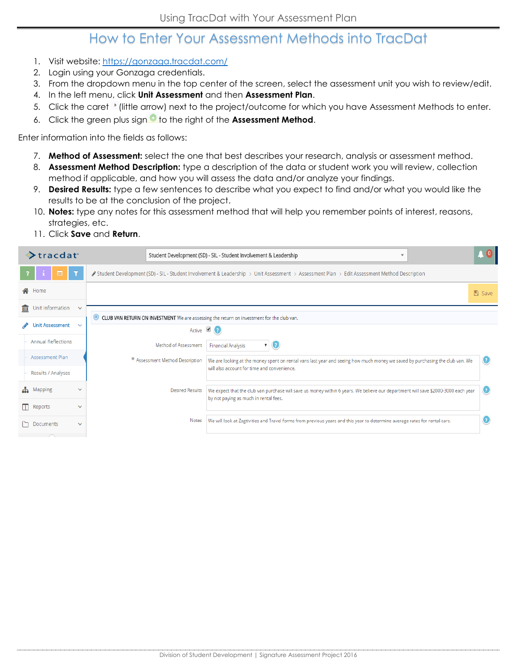#### How to Enter Your Assessment Methods into TracDat

- 1. Visit website:<https://gonzaga.tracdat.com/>
- 2. Login using your Gonzaga credentials.
- 3. From the dropdown menu in the top center of the screen, select the assessment unit you wish to review/edit.
- 4. In the left menu, click **Unit Assessment** and then **Assessment Plan**.
- 5. Click the caret ' (little arrow) next to the project/outcome for which you have Assessment Methods to enter.
- 6. Click the green plus sign<sup>1</sup> to the right of the **Assessment Method.**

Enter information into the fields as follows:

- 7. **Method of Assessment:** select the one that best describes your research, analysis or assessment method.
- 8. **Assessment Method Description:** type a description of the data or student work you will review, collection method if applicable, and how you will assess the data and/or analyze your findings.
- 9. **Desired Results:** type a few sentences to describe what you expect to find and/or what you would like the results to be at the conclusion of the project.
- 10. **Notes:** type any notes for this assessment method that will help you remember points of interest, reasons, strategies, etc.
- 11. Click **Save** and **Return**.

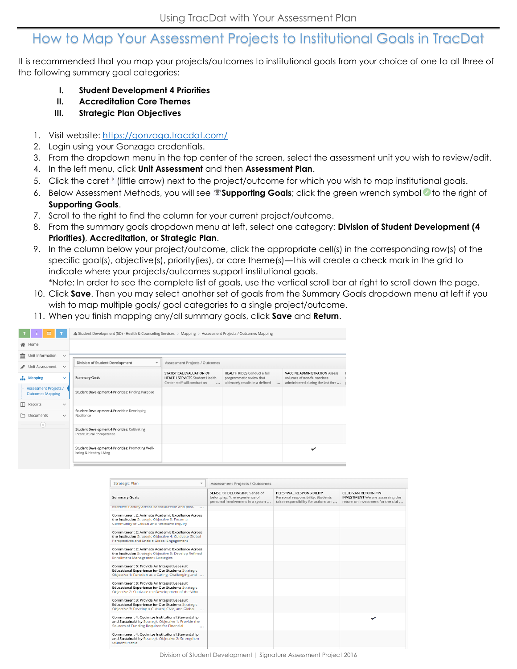#### How to Map Your Assessment Projects to Institutional Goals in TracDat

It is recommended that you map your projects/outcomes to institutional goals from your choice of one to all three of the following summary goal categories:

- **I. Student Development 4 Priorities**
- **II. Accreditation Core Themes**
- **III. Strategic Plan Objectives**
- 1. Visit website:<https://gonzaga.tracdat.com/>
- 2. Login using your Gonzaga credentials.
- 3. From the dropdown menu in the top center of the screen, select the assessment unit you wish to review/edit.
- 4. In the left menu, click **Unit Assessment** and then **Assessment Plan**.
- 5. Click the caret ' (little arrow) next to the project/outcome for which you wish to map institutional goals.
- 6. Below Assessment Methods, you will see **Supporting Goals**; click the green wrench symbol **t**o the right of **Supporting Goals**.
- 7. Scroll to the right to find the column for your current project/outcome.
- 8. From the summary goals dropdown menu at left, select one category: **Division of Student Development (4 Priorities)**, **Accreditation, or Strategic Plan**.
- 9. In the column below your project/outcome, click the appropriate cell(s) in the corresponding row(s) of the specific goal(s), objective(s), priority(ies), or core theme(s)—this will create a check mark in the grid to indicate where your projects/outcomes support institutional goals.

\*Note: In order to see the complete list of goals, use the vertical scroll bar at right to scroll down the page.

- 10. Click **Save**. Then you may select another set of goals from the Summary Goals dropdown menu at left if you wish to map multiple goals/ goal categories to a single project/outcome.
- 11. When you finish mapping any/all summary goals, click **Save** and **Return**.

| $\equiv$                                                | A Student Development (SD) - Health & Counseling Services > Mapping > Assessment Projects / Outcomes Mapping |                                                                                                                |                                                                                                               |                                                                                                          |  |
|---------------------------------------------------------|--------------------------------------------------------------------------------------------------------------|----------------------------------------------------------------------------------------------------------------|---------------------------------------------------------------------------------------------------------------|----------------------------------------------------------------------------------------------------------|--|
| Home<br>⋘                                               |                                                                                                              |                                                                                                                |                                                                                                               |                                                                                                          |  |
| Unit Information<br>$\checkmark$                        |                                                                                                              |                                                                                                                |                                                                                                               |                                                                                                          |  |
| Unit Assessment<br>$\checkmark$                         | Division of Student Development<br>$\overline{\phantom{a}}$                                                  | Assessment Projects / Outcomes                                                                                 |                                                                                                               |                                                                                                          |  |
| ж.<br><b>Mapping</b><br>$\checkmark$                    | <b>Summary Goals</b>                                                                                         | STATISTICAL EVALUATION OF<br><b>HEALTH SERVICES Student Health</b><br>Center staff will conduct an<br>$\cdots$ | <b>HEALTH RIDES</b> Conduct a full<br>programmatic review that<br>ultimately results in a defined<br>$\cdots$ | <b>VACCINE ADMINISTRATION Assess</b><br>volumes of non-flu vaccines<br>administered during the last thre |  |
| <b>Assessment Projects /</b><br><b>Outcomes Mapping</b> | Student Development 4 Priorities: Finding Purpose                                                            |                                                                                                                |                                                                                                               |                                                                                                          |  |
| Reports<br>$\checkmark$                                 |                                                                                                              |                                                                                                                |                                                                                                               |                                                                                                          |  |
| Documents<br>$\checkmark$                               | Student Development 4 Priorities: Developing<br>Resilience                                                   |                                                                                                                |                                                                                                               |                                                                                                          |  |
| $(\ll)$                                                 | Student Development 4 Priorities: Cultivating<br>Intercultural Competence                                    |                                                                                                                |                                                                                                               |                                                                                                          |  |
|                                                         | Student Development 4 Priorities: Promoting Well-<br>being & Healthy Living                                  |                                                                                                                |                                                                                                               |                                                                                                          |  |

| <b>Strategic Plan</b><br>$\overline{\phantom{a}}$                                                                                                                | Assessment Projects / Outcomes                                                                   |                                                                                                    |                                                                                                   |  |
|------------------------------------------------------------------------------------------------------------------------------------------------------------------|--------------------------------------------------------------------------------------------------|----------------------------------------------------------------------------------------------------|---------------------------------------------------------------------------------------------------|--|
| Summary Goals                                                                                                                                                    | SENSE OF BELONGING Sense of<br>belonging: "the experience of<br>personal involvement in a systen | PERSONAL RESPONSIBILITY<br>Personal responsibility: Students<br>take responsibility for actions an | CLUB VAN RETURN ON<br><b>INVESTMENT</b> We are assessing the<br>return on investment for the clut |  |
| Excellent Faculty across baccalaureate and post-<br>$\sim$                                                                                                       |                                                                                                  |                                                                                                    |                                                                                                   |  |
| Commitment 2: Animate Academic Excellence Across<br>the Institution Strategic Objective 3: Foster a<br>Community of Critical and Reflective Inquiry              |                                                                                                  |                                                                                                    |                                                                                                   |  |
| Commitment 2: Animate Academic Excellence Across<br>the Institution Strategic Objective 4: Cultivate Global<br>Perspectives and Enable Global Engagement         |                                                                                                  |                                                                                                    |                                                                                                   |  |
| Commitment 2: Animate Academic Excellence Across<br>the Institution Strategic Objective 5: Develop Refined<br><b>Enrollment Management Strategies</b>            |                                                                                                  |                                                                                                    |                                                                                                   |  |
| Commitment 3: Provide An Integrative Jesuit<br><b>Educational Experience for Our Students Strategic</b><br>Objective 1: Function as a Caring, Challenging and    |                                                                                                  |                                                                                                    |                                                                                                   |  |
| Commitment 3: Provide An Integrative Jesuit<br>Educational Experience for Our Students Strategic<br>Objective 2: Cultivate the Development of the Who            |                                                                                                  |                                                                                                    |                                                                                                   |  |
| Commitment 3: Provide An Integrative Jesuit<br>Educational Experience for Our Students Strategic<br>Objective 3: Develop a Cultural, Civic, and Global<br>$\sim$ |                                                                                                  |                                                                                                    |                                                                                                   |  |
| Commitment 4: Optimize Institutional Stewardship<br>and Sustainability Strategic Objective 1: Provide the<br>Sources of Funding Required for Financial<br>$\sim$ |                                                                                                  |                                                                                                    |                                                                                                   |  |
| Commitment 4: Optimize Institutional Stewardship<br>and Sustainability Strategic Objective 2: Strengthen<br>Student Profile                                      |                                                                                                  |                                                                                                    |                                                                                                   |  |
|                                                                                                                                                                  |                                                                                                  |                                                                                                    |                                                                                                   |  |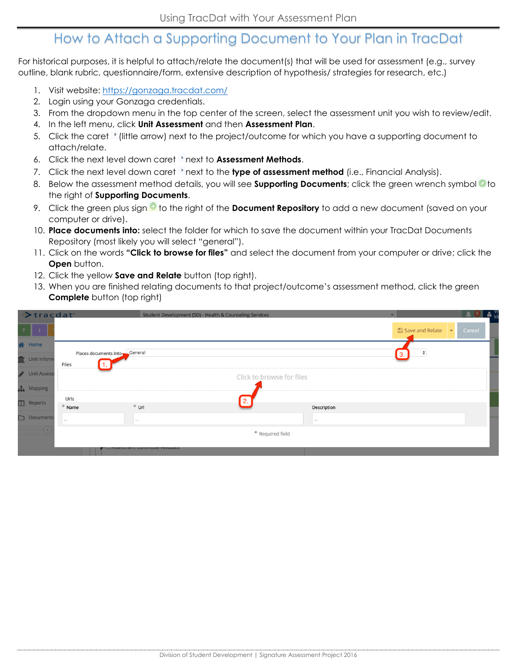# How to Attach a Supporting Document to Your Plan in TracDat

For historical purposes, it is helpful to attach/relate the document(s) that will be used for assessment (e.g., survey outline, blank rubric, questionnaire/form, extensive description of hypothesis/ strategies for research, etc.)

- 1. Visit website:<https://gonzaga.tracdat.com/>
- 2. Login using your Gonzaga credentials.
- 3. From the dropdown menu in the top center of the screen, select the assessment unit you wish to review/edit.
- 4. In the left menu, click **Unit Assessment** and then **Assessment Plan**.
- 5. Click the caret  $\prime$  (little arrow) next to the project/outcome for which you have a supporting document to attach/relate.
- 6. Click the next level down caret 'next to **Assessment Methods**.
- 7. Click the next level down caret 'next to the **type of assessment method** (i.e., Financial Analysis).
- 8. Below the assessment method details, you will see **Supporting Documents**; click the green wrench symbol<sup>6</sup> to the right of **Supporting Documents**.
- 9. Click the green plus sign<sup>6</sup> to the right of the **Document Repository** to add a new document (saved on your computer or drive).
- 10. **Place documents into:** select the folder for which to save the document within your TracDat Documents Repository (most likely you will select "general").
- 11. Click on the words **"Click to browse for files"** and select the document from your computer or drive; click the **Open** button.
- 12. Click the yellow **Save and Relate** button (top right).
- 13. When you are finished relating documents to that project/outcome's assessment method, click the green **Complete** button (top right)

|               | Stracdat'              |                                        |                                                                     | Student Development (SD) - Health & Counseling Services |                |                          |                         |
|---------------|------------------------|----------------------------------------|---------------------------------------------------------------------|---------------------------------------------------------|----------------|--------------------------|-------------------------|
|               |                        |                                        |                                                                     |                                                         |                | <b>A</b> Save and Relate | $\ \mathbf{v}\ $ Cancel |
| <b>谷</b> Home |                        |                                        |                                                                     |                                                         |                |                          |                         |
|               | <b>III</b> Unit Inform | Files<br>$\cdots \cdots \cdots \cdots$ | Places documents into General                                       |                                                         |                |                          |                         |
|               | <b>Unit Assess</b>     |                                        |                                                                     | Click to browse for files                               |                |                          |                         |
|               | <b>A</b> Mapping       |                                        |                                                                     | -----------                                             |                |                          |                         |
|               | $\Box$ Reports         | Urls                                   |                                                                     |                                                         |                |                          |                         |
|               |                        | * Name                                 | $*$ Url                                                             |                                                         | Description    |                          |                         |
| □             | <b>Documents</b>       | 1.11                                   | 0.0.0                                                               |                                                         | $\alpha$ as as |                          |                         |
|               |                        |                                        |                                                                     | * Required field                                        |                |                          |                         |
|               |                        |                                        |                                                                     |                                                         |                |                          |                         |
|               |                        |                                        | <del>ש כ</del> אזאפארוופווג כטווווווגנ <del>טע פון היי</del> דער הא |                                                         |                |                          |                         |